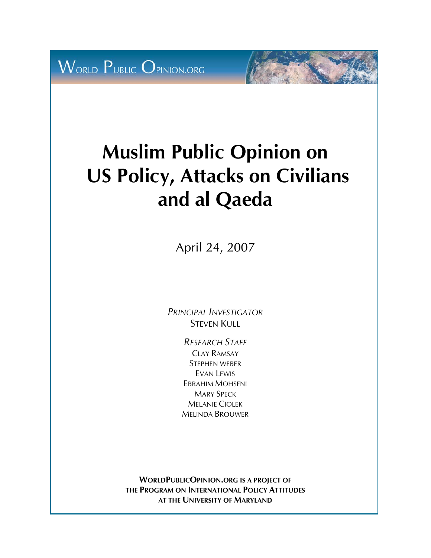**WORLD PUBLIC OPINION.ORG** 

# **Muslim Public Opinion on US Policy, Attacks on Civilians and al Qaeda**

April 24, 2007

*PRINCIPAL INVESTIGATOR* STEVEN KULL

> *RESEARCH STAFF* CLAY RAMSAY STEPHEN WEBER EVAN LEWIS EBRAHIM MOHSENI MARY SPECK MELANIE CIOLEK MELINDA BROUWER

**WORLDPUBLICOPINION.ORG IS A PROJECT OF THE PROGRAM ON INTERNATIONAL POLICY ATTITUDES AT THE UNIVERSITY OF MARYLAND**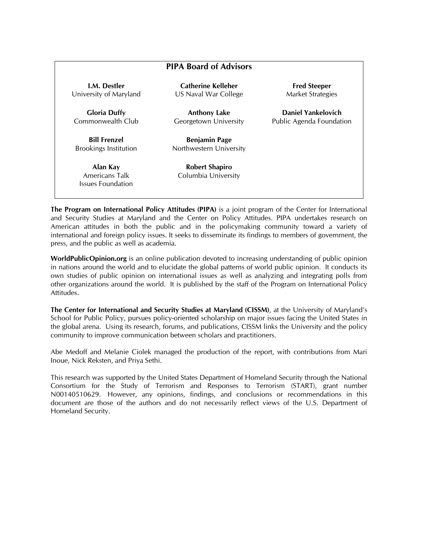| <b>PIPA Board of Advisors</b>                          |                                                 |                                                 |  |  |
|--------------------------------------------------------|-------------------------------------------------|-------------------------------------------------|--|--|
| <b>I.M.</b> Destler<br>University of Maryland          | Catherine Kelleher<br>US Naval War College      | <b>Fred Steeper</b><br><b>Market Strategies</b> |  |  |
| <b>Gloria Duffy</b><br>Commonwealth Club               | <b>Anthony Lake</b><br>Georgetown University    | Daniel Yankelovich<br>Public Agenda Foundation  |  |  |
| <b>Bill Frenzel</b><br><b>Brookings Institution</b>    | <b>Benjamin Page</b><br>Northwestern University |                                                 |  |  |
| Alan Kay<br>Americans Talk<br><b>Issues Foundation</b> | <b>Robert Shapiro</b><br>Columbia University    |                                                 |  |  |

**The Program on International Policy Attitudes (PIPA)** is a joint program of the Center for International and Security Studies at Maryland and the Center on Policy Attitudes. PIPA undertakes research on American attitudes in both the public and in the policymaking community toward a variety of international and foreign policy issues. It seeks to disseminate its findings to members of government, the press, and the public as well as academia.

**WorldPublicOpinion.org** is an online publication devoted to increasing understanding of public opinion in nations around the world and to elucidate the global patterns of world public opinion. It conducts its own studies of public opinion on international issues as well as analyzing and integrating polls from other organizations around the world. It is published by the staff of the Program on International Policy Attitudes.

**The Center for International and Security Studies at Maryland (CISSM)**, at the University of Maryland's School for Public Policy, pursues policy-oriented scholarship on major issues facing the United States in the global arena. Using its research, forums, and publications, CISSM links the University and the policy community to improve communication between scholars and practitioners.

Abe Medoff and Melanie Ciolek managed the production of the report, with contributions from Mari Inoue, Nick Reksten, and Priya Sethi.

This research was supported by the United States Department of Homeland Security through the National Consortium for the Study of Terrorism and Responses to Terrorism (START), grant number N00140510629. However, any opinions, findings, and conclusions or recommendations in this document are those of the authors and do not necessarily reflect views of the U.S. Department of Homeland Security.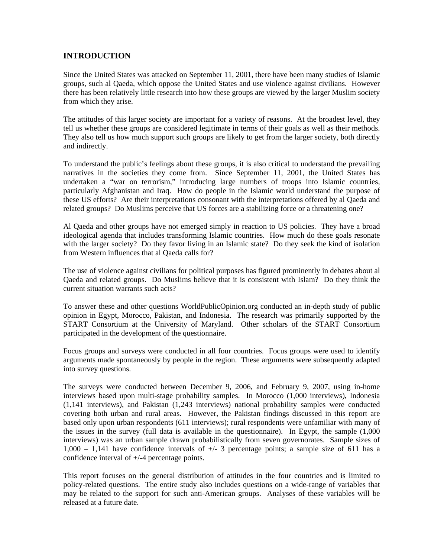#### **INTRODUCTION**

Since the United States was attacked on September 11, 2001, there have been many studies of Islamic groups, such al Qaeda, which oppose the United States and use violence against civilians. However there has been relatively little research into how these groups are viewed by the larger Muslim society from which they arise.

The attitudes of this larger society are important for a variety of reasons. At the broadest level, they tell us whether these groups are considered legitimate in terms of their goals as well as their methods. They also tell us how much support such groups are likely to get from the larger society, both directly and indirectly.

To understand the public's feelings about these groups, it is also critical to understand the prevailing narratives in the societies they come from. Since September 11, 2001, the United States has undertaken a "war on terrorism," introducing large numbers of troops into Islamic countries, particularly Afghanistan and Iraq. How do people in the Islamic world understand the purpose of these US efforts? Are their interpretations consonant with the interpretations offered by al Qaeda and related groups? Do Muslims perceive that US forces are a stabilizing force or a threatening one?

Al Qaeda and other groups have not emerged simply in reaction to US policies. They have a broad ideological agenda that includes transforming Islamic countries. How much do these goals resonate with the larger society? Do they favor living in an Islamic state? Do they seek the kind of isolation from Western influences that al Qaeda calls for?

The use of violence against civilians for political purposes has figured prominently in debates about al Qaeda and related groups. Do Muslims believe that it is consistent with Islam? Do they think the current situation warrants such acts?

To answer these and other questions WorldPublicOpinion.org conducted an in-depth study of public opinion in Egypt, Morocco, Pakistan, and Indonesia. The research was primarily supported by the START Consortium at the University of Maryland. Other scholars of the START Consortium participated in the development of the questionnaire.

Focus groups and surveys were conducted in all four countries. Focus groups were used to identify arguments made spontaneously by people in the region. These arguments were subsequently adapted into survey questions.

The surveys were conducted between December 9, 2006, and February 9, 2007, using in-home interviews based upon multi-stage probability samples. In Morocco (1,000 interviews), Indonesia (1,141 interviews), and Pakistan (1,243 interviews) national probability samples were conducted covering both urban and rural areas. However, the Pakistan findings discussed in this report are based only upon urban respondents (611 interviews); rural respondents were unfamiliar with many of the issues in the survey (full data is available in the questionnaire). In Egypt, the sample (1,000 interviews) was an urban sample drawn probabilistically from seven governorates. Sample sizes of  $1,000 - 1,141$  have confidence intervals of  $\pm/2$  a percentage points; a sample size of 611 has a confidence interval of +/-4 percentage points.

This report focuses on the general distribution of attitudes in the four countries and is limited to policy-related questions. The entire study also includes questions on a wide-range of variables that may be related to the support for such anti-American groups. Analyses of these variables will be released at a future date.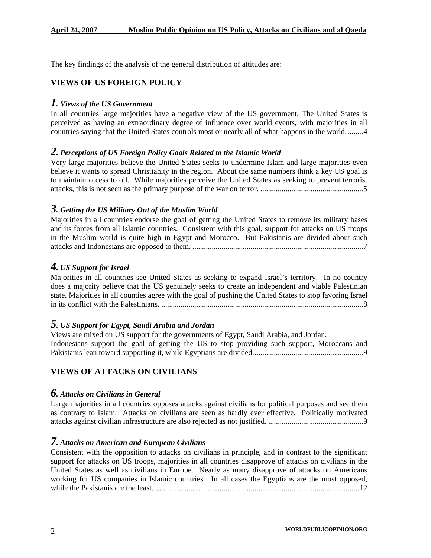The key findings of the analysis of the general distribution of attitudes are:

## **VIEWS OF US FOREIGN POLICY**

#### *1. Views of the US Government*

In all countries large majorities have a negative view of the US government. The United States is perceived as having an extraordinary degree of influence over world events, with majorities in all countries saying that the United States controls most or nearly all of what happens in the world. ........4

## *2. Perceptions of US Foreign Policy Goals Related to the Islamic World*

Very large majorities believe the United States seeks to undermine Islam and large majorities even believe it wants to spread Christianity in the region. About the same numbers think a key US goal is to maintain access to oil. While majorities perceive the United States as seeking to prevent terrorist attacks, this is not seen as the primary purpose of the war on terror. .....................................................5

#### *3. Getting the US Military Out of the Muslim World*

Majorities in all countries endorse the goal of getting the United States to remove its military bases and its forces from all Islamic countries. Consistent with this goal, support for attacks on US troops in the Muslim world is quite high in Egypt and Morocco. But Pakistanis are divided about such attacks and Indonesians are opposed to them. ........................................................................................7

## *4. US Support for Israel*

Majorities in all countries see United States as seeking to expand Israel's territory. In no country does a majority believe that the US genuinely seeks to create an independent and viable Palestinian state. Majorities in all counties agree with the goal of pushing the United States to stop favoring Israel in its conflict with the Palestinians. ........................................................................................................8

## *5. US Support for Egypt, Saudi Arabia and Jordan*

Views are mixed on US support for the governments of Egypt, Saudi Arabia, and Jordan. Indonesians support the goal of getting the US to stop providing such support, Moroccans and Pakistanis lean toward supporting it, while Egyptians are divided.........................................................9

## **VIEWS OF ATTACKS ON CIVILIANS**

#### *6. Attacks on Civilians in General*

Large majorities in all countries opposes attacks against civilians for political purposes and see them as contrary to Islam. Attacks on civilians are seen as hardly ever effective. Politically motivated attacks against civilian infrastructure are also rejected as not justified. .................................................9

## *7. Attacks on American and European Civilians*

Consistent with the opposition to attacks on civilians in principle, and in contrast to the significant support for attacks on US troops, majorities in all countries disapprove of attacks on civilians in the United States as well as civilians in Europe. Nearly as many disapprove of attacks on Americans working for US companies in Islamic countries. In all cases the Egyptians are the most opposed, while the Pakistanis are the least. .........................................................................................................12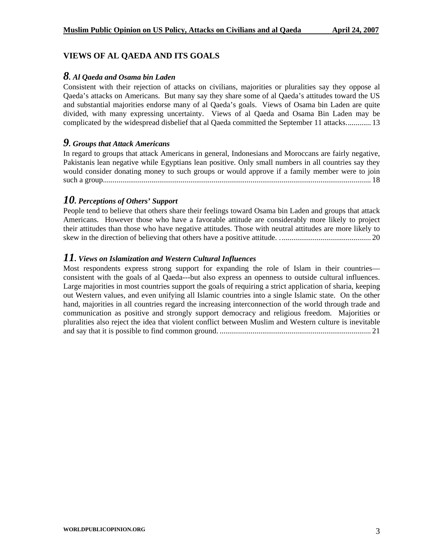## **VIEWS OF AL QAEDA AND ITS GOALS**

#### *8. Al Qaeda and Osama bin Laden*

Consistent with their rejection of attacks on civilians, majorities or pluralities say they oppose al Qaeda's attacks on Americans. But many say they share some of al Qaeda's attitudes toward the US and substantial majorities endorse many of al Qaeda's goals. Views of Osama bin Laden are quite divided, with many expressing uncertainty. Views of al Qaeda and Osama Bin Laden may be complicated by the widespread disbelief that al Qaeda committed the September 11 attacks............. 13

## *9. Groups that Attack Americans*

In regard to groups that attack Americans in general, Indonesians and Moroccans are fairly negative, Pakistanis lean negative while Egyptians lean positive. Only small numbers in all countries say they would consider donating money to such groups or would approve if a family member were to join such a group.......................................................................................................................................... 18

## *10. Perceptions of Others' Support*

People tend to believe that others share their feelings toward Osama bin Laden and groups that attack Americans. However those who have a favorable attitude are considerably more likely to project their attitudes than those who have negative attitudes. Those with neutral attitudes are more likely to skew in the direction of believing that others have a positive attitude. ............................................... 20

## *11. Views on Islamization and Western Cultural Influences*

Most respondents express strong support for expanding the role of Islam in their countries consistent with the goals of al Qaeda---but also express an openness to outside cultural influences. Large majorities in most countries support the goals of requiring a strict application of sharia, keeping out Western values, and even unifying all Islamic countries into a single Islamic state. On the other hand, majorities in all countries regard the increasing interconnection of the world through trade and communication as positive and strongly support democracy and religious freedom. Majorities or pluralities also reject the idea that violent conflict between Muslim and Western culture is inevitable and say that it is possible to find common ground. .............................................................................. 21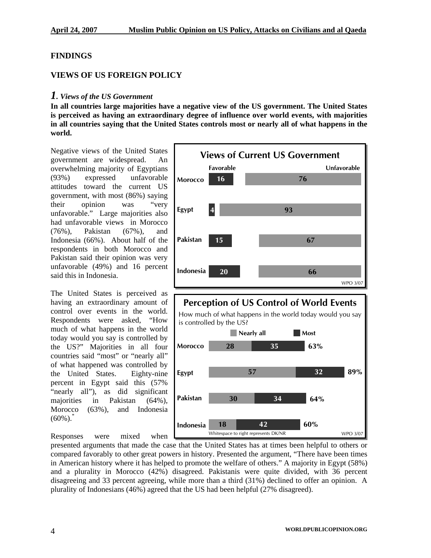## **FINDINGS**

## **VIEWS OF US FOREIGN POLICY**

#### *1. Views of the US Government*

**In all countries large majorities have a negative view of the US government. The United States is perceived as having an extraordinary degree of influence over world events, with majorities in all countries saying that the United States controls most or nearly all of what happens in the world.** 

Negative views of the United States government are widespread. An overwhelming majority of Egyptians (93%) expressed unfavorable attitudes toward the current US government, with most (86%) saying opinion was "very their unfavorable." Large majorities also had unfavorable views in Morocco (76%), Pakistan (67%), and Indonesia (66%). About half of the respondents in both Morocco and Pakistan said their opinion was very unfavorable (49%) and 16 percent said this in Indonesia.

much of what happens in the world today would you say is controlled by The United States is perceived as having an extraordinary amount of control over events in the world. Respondents were asked, "How the US?" Majorities in all four countries said "most" or "nearly all" of what happened was controlled by the United States. Eighty-nine percent in Egypt said this (57% "nearly all"), as did significant majorities in Pakistan (64%), Morocco (63%), and Indonesia  $(60\%)$ .

Responses were mixed when



## **Perception of US Control of World Events Perception of US Control of World Events**

How much of what happens in the world today would you say How much of what happens in the world today would you say is controlled by the US? is controlled by the US?



compared favorably to other great powers in history. Presented the argument, "There have been times in American history where it has helped to promote the welfare of others." A majority in Egypt (58%) and a plurality in Morocco (42%) disagreed. Pakistanis were quite divided, with 36 percent disagreeing and 33 percent agreeing, while more than a third (31%) declined to offer an opinion. A plurality of Indonesians (46%) agreed that the US had been helpful (27% disagreed). presented arguments that made the cas e that the United States has at times been helpful to others or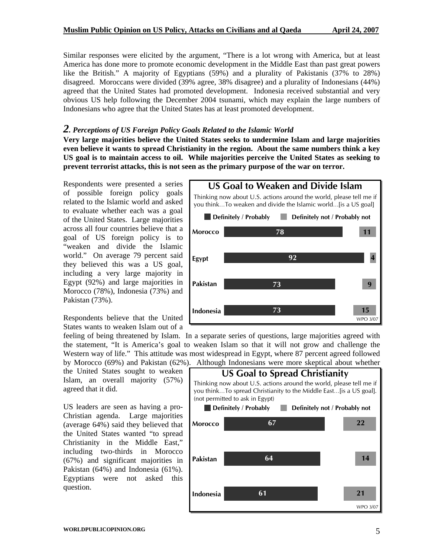Similar responses were elicited by the argument, "There is a lot wrong with America, but at least America has done more to promote economic development in the Middle East than past great powers like the British." A majority of Egyptians (59%) and a plurality of Pakistanis (37% to 28%) disagreed. Moroccans were divided (39% agree, 38% disagree) and a plurality of Indonesians (44%) agreed that the United States had promoted development. Indonesia received substantial and very obvious US help following the December 2004 tsunami, which may explain the large numbers of Indonesians who agree that the United States has at least promoted development.

#### *2. Perceptions of US Foreign Policy Goals Related to the Islamic World*

Very large majorities believe the United States seeks to undermine Islam and large majorities even believe it wants to spread Christianity in the region. About the same numbers think a key prevent terrorist attacks, this is not seen as the primary purpose of the war on terror. **US goal is to maintain access to oil. While majorities perceive the United States as seeking to** 

including a very large majority in Egypt (92%) and large majorities in Respondents were presented a series of possible foreign policy goals related to the Islamic world and asked to evaluate whether each was a goal of the United States. Large majorities across all four countries believe that a goal of US foreign policy is to "weaken and divide the Islamic world." On average 79 percent said they believed this was a US goal, Morocco (78%), Indonesia (73%) and Pakistan (73%).

Respondents believe that the United States wants to weaken Islam out of a

by Morocco (69%) and Pakistan (62%). Although Indonesians were more skeptical about whether

the United States sought to weaken Islam, an overall majority (57%) agreed that it did.

 $(67%)$  and significant majorities in Pakistan  $(64%)$  and Indonesia  $(61%)$ . US leaders are seen as having a pro-Christian agenda. Large majorities (average 64%) said they believed that the United States wanted "to spread Christianity in the Middle East," including two-thirds in Morocco Egyptians were not asked this question.



Western way of life." This attitude was most widespread in Egypt, where 87 percent agreed followed feeling of being threatened by Islam. In a separate series of questions, large majorities agreed with the statement, "It is America's goal to weaken Islam so that it will not grow and challenge the

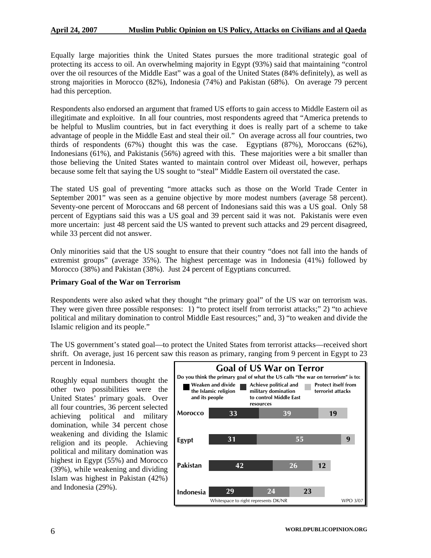Equally large majorities think the United States pursues the more traditional strategic goal of protecting its access to oil. An overwhelming majority in Egypt (93%) said that maintaining "control over the oil resources of the Middle East" was a goal of the United States (84% definitely), as well as strong majorities in Morocco (82%), Indonesia (74%) and Pakistan (68%). On average 79 percent had this perception.

Indonesians (61%), and Pakistanis (56%) agreed with this. These majorities were a bit smaller than those believing the United States wanted to maintain control over Mideast oil, however, perhaps Respondents also endorsed an argument that framed US efforts to gain access to Middle Eastern oil as illegitimate and exploitive. In all four countries, most respondents agreed that "America pretends to be helpful to Muslim countries, but in fact everything it does is really part of a scheme to take advantage of people in the Middle East and steal their oil." On average across all four countries, two thirds of respondents (67%) thought this was the case. Egyptians (87%), Moroccans (62%), because some felt that saying the US sought to "steal" Middle Eastern oil overstated the case.

percent of Egyptians said this was a US goal and 39 percent said it was not. Pakistanis were even more uncertain: just 48 percent said the US wanted to prevent such attacks and 29 percent disagreed, The stated US goal of preventing "more attacks such as those on the World Trade Center in September 2001" was seen as a genuine objective by more modest numbers (average 58 percent). Seventy-one percent of Moroccans and 68 percent of Indonesians said this was a US goal. Only 58 while 33 percent did not answer.

Only minorities said that the US sought to ensure that their country "does not fall into the hands of extremist groups" (average 35%). The highest percentage was in Indonesia (41%) followed by Morocco (38%) and Pakistan (38%). Just 24 percent of Egyptians concurred.

#### **Primary Goal of the War on Terrorism**

They were given three possible responses: 1) "to protect itself from terrorist attacks;" 2) "to achieve political and military domination to control Middle East resources;" and, 3) "to weaken and divide the Respondents were also asked what they thought "the primary goal" of the US war on terrorism was. Islamic religion and its people."

The US government's stated goal—to protect the United States from terrorist attacks—received short shrift. On average, just 16 percent saw this reason as primary, ranging from 9 percent in Egypt to 23 percent in Indonesia.

(39%), while weakening and dividing Islam was highest in Pakistan (42%) and Indonesia (29%). Roughly equal numbers thought the other two possibilities were the United States' primary goals. Over all four countries, 36 percent selected achieving political and military domination, while 34 percent chose weakening and dividing the Islamic religion and its people. Achieving political and military domination was highest in Egypt (55%) and Morocco

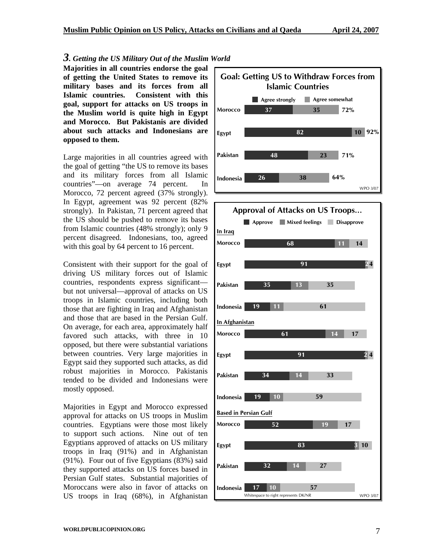#### *3. Getting the US Military Out of the Muslim World*  **Majorities in all countries endorse the goal of getting the United States to remove its military bases and its forces from all Islamic countries. Consistent with this goal, support for attacks on US troops in the Muslim world is quite high in Egypt and Morocco. But Pakistanis are divided**

Large majorities in all countries agreed with the goal of getting "the US to remove its bases and its military forces from all Islamic countries"—on average 74 percent. In Morocco, 72 percent agreed (37% strongly). In Egypt, agreement was 92 percent (82% strongly). In Pakistan, 71 percent agreed that the US should be pushed to remove its bases from Islamic countries (48% strongly); only 9 percent disagreed. Indonesians, too, agreed with this goal by 64 percent to 16 percent.

**about such attacks and Indonesians are** 

**pposed to them. o**

Consistent with their support for the goal of driving US military forces out of Islamic countries, respondents express significant but not universal—approval of attacks on US troops in Islamic countries, including both those that are fighting in Iraq and Afghanistan and those that are based in the Persian Gulf. On average, for each area, approximately half favored such attacks, with three in 10 opposed, but there were substantial variations between countries. Very large majorities in Egypt said they supported such attacks, as did robust majorities in Morocco. Pakistanis tended to be divided and Indonesians were mostly opposed.

Majorities in Egypt and Morocco expressed approval for attacks on US troops in Muslim countries. Egyptians were those most likely to support such actions. Nine out of ten Egyptians approved of attacks on US military troops in Iraq (91%) and in Afghanistan (91%). Four out of five Egyptians (83%) said they supported attacks on US forces based in Persian Gulf states. Substantial majorities of Moroccans were also in favor of attacks on US troops in Iraq (68%), in Afghanistan



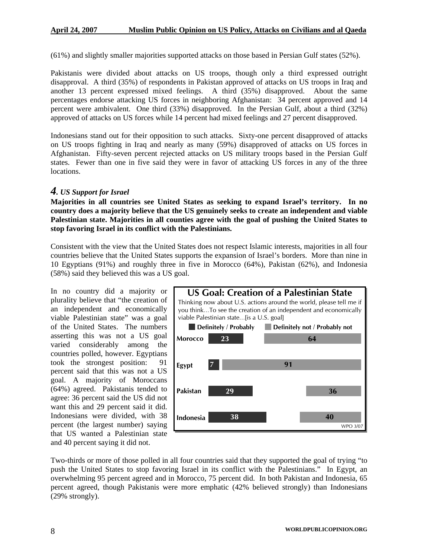(61%) and slightly smaller majorities supported attacks on those based in Persian Gulf states (52%).

Pakistanis were divided about attacks on US troops, though only a third expressed outright disapproval. A third (35%) of respondents in Pakistan approved of attacks on US troops in Iraq and another 13 percent expressed mixed feelings. A third (35%) disapproved. About the same percentages endorse attacking US forces in neighboring Afghanistan: 34 percent approved and 14 percent were ambivalent. One third (33%) disapproved. In the Persian Gulf, about a third (32%) approved of attacks on US forces while 14 percent had mixed feelings and 27 percent disapproved.

Indonesians stand out for their opposition to such attacks. Sixty-one percent disapproved of attacks on US troops fighting in Iraq and nearly as many (59%) disapproved of attacks on US forces in Afghanistan. Fifty-seven percent rejected attacks on US military troops based in the Persian Gulf states. Fewer than one in five said they were in favor of attacking US forces in any of the three locations.

## *4. US Support for Israel*

**Majorities in all countries see United States as seeking to expand Israel's territory. In no country does a majority believe that the US genuinely seeks to create an independent and viable Palestinian state. Majorities in all counties agree with the goal of pushing the United States to stop favoring Israel in its conflict with the Palestinians.**

Consistent with the view that the United States does not respect Islamic interests, majorities in all four countries believe that the United States supports the expansion of Israel's borders. More than nine in 10 Egyptians (91%) and roughly three in five in Morocco (64%), Pakistan (62%), and Indonesia (58%) said they believed this was a US goal.

In no country did a majority or plurality believe that "the creation of an independent and economically viable Palestinian state" was a goal of the United States. The numbers asserting this was not a US goal varied considerably among the countries polled, however. Egyptians took the strongest position: 91 percent said that this was not a US goal. A majority of Moroccans (64%) agreed. Pakistanis tended to agree: 36 percent said the US did not want this and 29 percent said it did. Indonesians were divided, with 38 percent (the largest number) saying that US wanted a Palestinian state and 40 percent saying it did not.



Two-thirds or more of those polled in all four countries said that they supported the goal of trying "to push the United States to stop favoring Israel in its conflict with the Palestinians." In Egypt, an overwhelming 95 percent agreed and in Morocco, 75 percent did. In both Pakistan and Indonesia, 65 percent agreed, though Pakistanis were more emphatic (42% believed strongly) than Indonesians (29% strongly).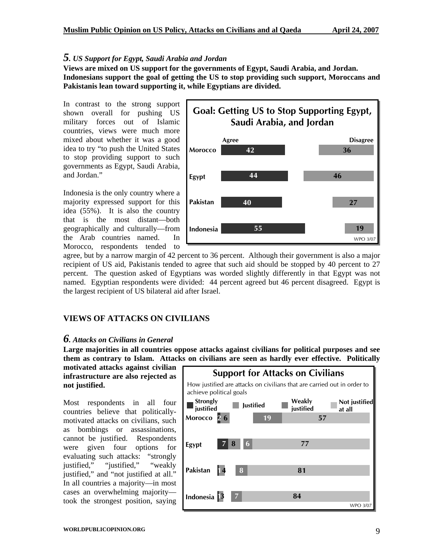#### *5. US Support for Egypt, Saudi Arabia and Jordan*

**Views are mixed on US support for the governments of Egypt, Saudi Arabia, and Jordan. Indonesians support the goal of getting the US to stop providing such support, Moroccans and Pakistanis lean toward supporting it, while Egyptians are divided.** 

In contrast to the strong support shown overall for pushing US military forces out of Islamic countries, views were much more mixed about whether it was a good idea to try "to push the United States to stop providing support to such governments as Egypt, Saudi Arabia, and Jordan."

Indonesia is the only country where a majority expressed support for this idea (55%). It is also the country that is the most distant—both geographically and culturally—from the Arab countries named. In Morocco, respondents tended to



agree, but by a narrow margin of 42 percent to 36 percent. Although their government is also a major recipient of US aid, Pakistanis tended to agree that such aid should be stopped by 40 percent to 27 percent. The question asked of Egyptians was worded slightly differently in that Egypt was not named. Egyptian respondents were divided: 44 percent agreed but 46 percent disagreed. Egypt is the largest recipient of US bilateral aid after Israel.

## **VIEWS OF ATTACKS ON CIVILIANS**

#### *6. Attacks on Civilians in General*

**Large majorities in all countries oppose attacks against civilians for political purposes and see them as contrary to Islam. Attacks on civilians are seen as hardly ever effective. Politically** 

**motivated attacks against civilian infrastructure are also rejected as not justified.** 

Most respondents in all four countries believe that politicallymotivated attacks on civilians, such as bombings or assassinations, cannot be justified. Respondents were given four options for evaluating such attacks: "strongly justified," "justified," "weakly justified," and "not justified at all." In all countries a majority—in most cases an overwhelming majority took the strongest position, saying

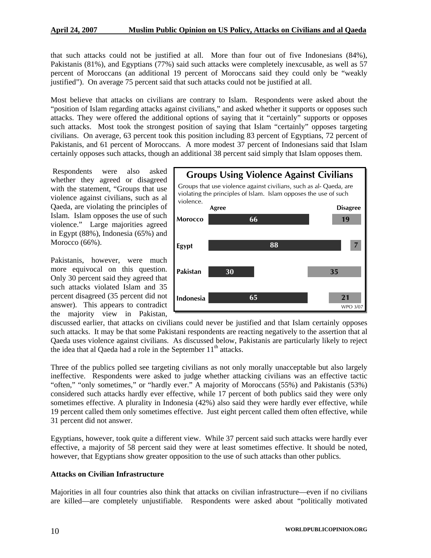that such attacks could not be justified at all. More than four out of five Indonesians (84%), Pakistanis (81%), and Egyptians (77%) said such attacks were completely inexcusable, as well as 57 percent of Moroccans (an additional 19 percent of Moroccans said they could only be "weakly justified"). On average 75 percent said that such attacks could not be justified at all.

Most believe that attacks on civilians are contrary to Islam. Respondents were asked about the "position of Islam regarding attacks against civilians," and asked whether it supports or opposes such attacks. They were offered the additional options of saying that it "certainly" supports or opposes such attacks. Most took the strongest position of saying that Islam "certainly" opposes targeting civilians. On average, 63 percent took this position including 83 percent of Egyptians, 72 percent of Pakistanis, and 61 percent of Moroccans. A more modest 37 percent of Indonesians said that Islam certainly opposes such attacks, though an additional 38 percent said simply that Islam opposes them.

 Respondents were also asked whether they agreed or disagreed with the statement, "Groups that use violence against civilians, such as al Qaeda, are violating the principles of Islam. Islam opposes the use of such violence." Large majorities agreed in Egypt (88%), Indonesia (65%) and Morocco (66%).

Pakistanis, however, were much more equivocal on this question. Only 30 percent said they agreed that such attacks violated Islam and 35 percent disagreed (35 percent did not answer). This appears to contradict the majority view in Pakistan,



discussed earlier, that attacks on civilians could never be justified and that Islam certainly opposes such attacks. It may be that some Pakistani respondents are reacting negatively to the assertion that al Qaeda uses violence against civilians. As discussed below, Pakistanis are particularly likely to reject the idea that al Qaeda had a role in the September  $11<sup>th</sup>$  attacks.

Three of the publics polled see targeting civilians as not only morally unacceptable but also largely ineffective. Respondents were asked to judge whether attacking civilians was an effective tactic "often," "only sometimes," or "hardly ever." A majority of Moroccans (55%) and Pakistanis (53%) considered such attacks hardly ever effective, while 17 percent of both publics said they were only sometimes effective. A plurality in Indonesia (42%) also said they were hardly ever effective, while 19 percent called them only sometimes effective. Just eight percent called them often effective, while 31 percent did not answer.

Egyptians, however, took quite a different view. While 37 percent said such attacks were hardly ever effective, a majority of 58 percent said they were at least sometimes effective. It should be noted, however, that Egyptians show greater opposition to the use of such attacks than other publics.

#### **Attacks on Civilian Infrastructure**

Majorities in all four countries also think that attacks on civilian infrastructure—even if no civilians are killed—are completely unjustifiable. Respondents were asked about "politically motivated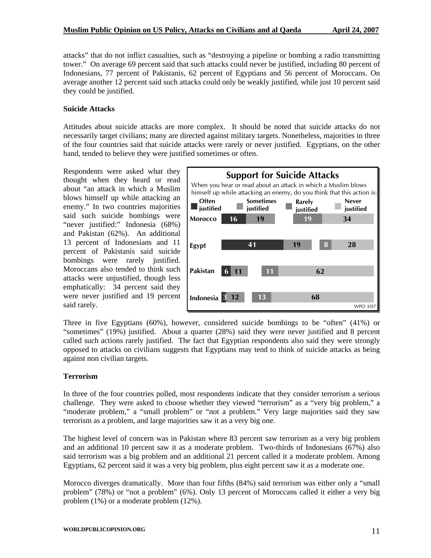attacks" that do not inflict casualties, such as "destroying a pipeline or bombing a radio transmitting tower." On average 69 percent said that such attacks could never be justified, including 80 percent of Indonesians, 77 percent of Pakistanis, 62 percent of Egyptians and 56 percent of Moroccans. On average another 12 percent said such attacks could only be weakly justified, while just 10 percent said they could be justified.

#### **Suicide Attacks**

Attitudes about suicide attacks are more complex. It should be noted that suicide attacks do not necessarily target civilians; many are directed against military targets. Nonetheless, majorities in three of the four countries said that suicide attacks were rarely or never justified. Egyptians, on the other hand, tended to believe they were justified sometimes or often.

Respondents were asked what they thought when they heard or read about "an attack in which a Muslim blows himself up while attacking an enemy." In two countries majorities said such suicide bombings were "never justified:" Indonesia (68%) and Pakistan (62%). An additional 13 percent of Indonesians and 11 percent of Pakistanis said suicide bombings were rarely justified. Moroccans also tended to think such attacks were unjustified, though less emphatically: 34 percent said they were never justified and 19 percent said rarely.



Three in five Egyptians (60%), however, considered suicide bombings to be "often" (41%) or "sometimes" (19%) justified. About a quarter (28%) said they were never justified and 8 percent called such actions rarely justified. The fact that Egyptian respondents also said they were strongly opposed to attacks on civilians suggests that Egyptians may tend to think of suicide attacks as being against non civilian targets.

#### **Terrorism**

In three of the four countries polled, most respondents indicate that they consider terrorism a serious challenge. They were asked to choose whether they viewed "terrorism" as a "very big problem," a "moderate problem," a "small problem" or "not a problem." Very large majorities said they saw terrorism as a problem, and large majorities saw it as a very big one.

The highest level of concern was in Pakistan where 83 percent saw terrorism as a very big problem and an additional 10 percent saw it as a moderate problem. Two-thirds of Indonesians (67%) also said terrorism was a big problem and an additional 21 percent called it a moderate problem. Among Egyptians, 62 percent said it was a very big problem, plus eight percent saw it as a moderate one.

Morocco diverges dramatically. More than four fifths (84%) said terrorism was either only a "small problem" (78%) or "not a problem" (6%). Only 13 percent of Moroccans called it either a very big problem (1%) or a moderate problem (12%).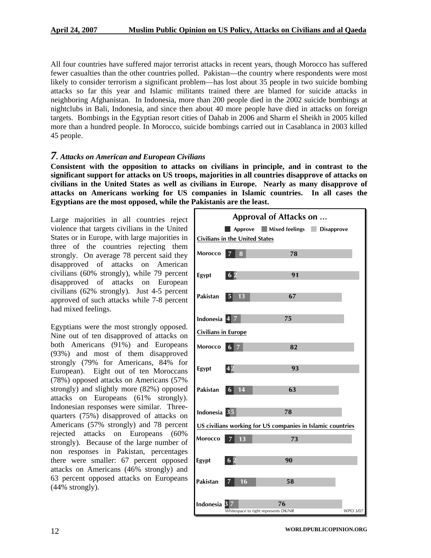All four countries have suffered major terrorist attacks in recent years, though Morocco has suffered fewer casualties than the other countries polled. Pakistan—the country where respondents were most likely to consider terrorism a significant problem—has lost about 35 people in two suicide bombing attacks so far this year and Islamic militants trained there are blamed for suicide attacks in neighboring Afghanistan. In Indonesia, more than 200 people died in the 2002 suicide bombings at nightclubs in Bali, Indonesia, and since then about 40 more people have died in attacks on foreign targets. Bombings in the Egyptian resort cities of Dahab in 2006 and Sharm el Sheikh in 2005 killed more than a hundred people. In Morocco, suicide bombings carried out in Casablanca in 2003 killed 45 people.

#### *7. Attacks on American and European Civilians*

**Consistent with the opposition to attacks on civilians in principle, and in contrast to the significant support for attacks on US troops, majorities in all countries disapprove of attacks on civilians in the United States as well as civilians in Europe. Nearly as many disapprove of attacks on Americans working for US companies in Islamic countries. In all cases the Egyptians are the most opposed, while the Pakistanis are the least.** 

Large majorities in all countries reject violence that targets civilians in the United States or in Europe, with large majorities in three of the countries rejecting them strongly. On average 78 percent said they disapproved of attacks on American civilians (60% strongly), while 79 percent disapproved of attacks on European civilians (62% strongly). Just 4-5 percent approved of such attacks while 7-8 percent had mixed feelings.

Egyptians were the most strongly opposed. Nine out of ten disapproved of attacks on both Americans (91%) and Europeans (93%) and most of them disapproved strongly (79% for Americans, 84% for European). Eight out of ten Moroccans (78%) opposed attacks on Americans (57% strongly) and slightly more (82%) opposed attacks on Europeans (61% strongly). Indonesian responses were similar. Threequarters (75%) disapproved of attacks on Americans (57% strongly) and 78 percent rejected attacks on Europeans (60% strongly). Because of the large number of non responses in Pakistan, percentages there were smaller: 67 percent opposed attacks on Americans (46% strongly) and 63 percent opposed attacks on Europeans (44% strong ly).

| Approval of Attacks on                                     |                      |                                            |                 |  |  |
|------------------------------------------------------------|----------------------|--------------------------------------------|-----------------|--|--|
|                                                            |                      | Approve Mixed feelings Disapprove          |                 |  |  |
| <b>Civilians in the United States</b>                      |                      |                                            |                 |  |  |
| Morocco                                                    | 8                    | 78                                         |                 |  |  |
| Egypt                                                      | 6 <sup>2</sup>       | 91                                         |                 |  |  |
| Pakistan                                                   | 13<br>$\sqrt{5}$     | 67                                         |                 |  |  |
| Indonesia 4 7                                              |                      | 75                                         |                 |  |  |
| <b>Civilians in Europe</b>                                 |                      |                                            |                 |  |  |
| Morocco                                                    | 6                    | 82                                         |                 |  |  |
| Egypt                                                      | 42                   | 93                                         |                 |  |  |
| Pakistan                                                   | 14<br>6              | 63                                         |                 |  |  |
| Indonesia 35                                               |                      | 78                                         |                 |  |  |
| US civilians working for US companies in Islamic countries |                      |                                            |                 |  |  |
| Morocco                                                    | $\overline{7}$<br>13 | 73                                         |                 |  |  |
| Egypt                                                      | 62                   | 90                                         |                 |  |  |
| Pakistan                                                   | 16<br>7              | 58                                         |                 |  |  |
| Indonesia <sup>3</sup>                                     |                      | 76<br>Whitespace to right represents DK/NR | <b>WPO 3/07</b> |  |  |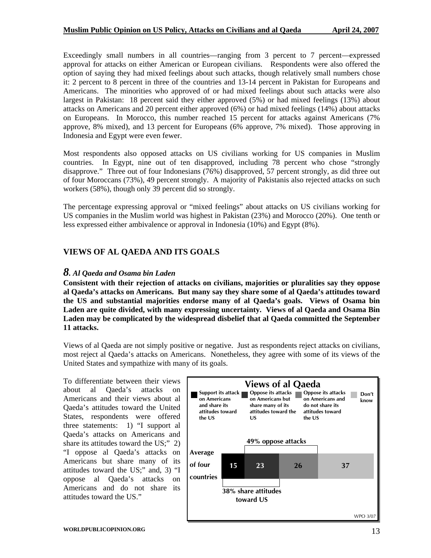Exceedingly small numbers in all countries—ranging from 3 percent to 7 percent—expressed approval for attacks on either American or European civilians. Respondents were also offered the option of saying they had mixed feelings about such attacks, though relatively small numbers chose it: 2 percent to 8 percent in three of the countries and 13-14 percent in Pakistan for Europeans and Americans. The minorities who approved of or had mixed feelings about such attacks were also largest in Pakistan: 18 percent said they either approved (5%) or had mixed feelings (13%) about attacks on Americans and 20 percent either approved (6%) or had mixed feelings (14%) about attacks on Europeans. In Morocco, this number reached 15 percent for attacks against Americans (7% approve, 8% mixed), and 13 percent for Europeans (6% approve, 7% mixed). Those approving in Indonesia and Egypt were even fewer.

Most respondents also opposed attacks on US civilians working for US companies in Muslim countries. In Egypt, nine out of ten disapproved, including 78 percent who chose "strongly disapprove." Three out of four Indonesians (76%) disapproved, 57 percent strongly, as did three out of four Moroccans (73%), 49 percent strongly. A majority of Pakistanis also rejected attacks on such workers (58%), though only 39 percent did so strongly.

The percentage expressing approval or "mixed feelings" about attacks on US civilians working for US companies in the Muslim world was highest in Pakistan (23%) and Morocco (20%). One tenth or less expressed either ambivalence or approval in Indonesia (10%) and Egypt (8%).

#### **VIEWS OF AL QAEDA AND ITS GOALS**

#### *8. Al Qaeda and Osama bin Laden*

**Consistent with their rejection of attacks on civilians, majorities or pluralities say they oppose al Qaeda's attacks on Americans. But many say they share some of al Qaeda's attitudes toward the US and substantial majorities endorse many of al Qaeda's goals. Views of Osama bin Laden are quite divided, with many expressing uncertainty. Views of al Qaeda and Osama Bin Laden may be complicated by the widespread disbelief that al Qaeda committed the September 11 attacks.** 

Views of al Qaeda are not simply positive or negative. Just as respondents reject attacks on civilians, most reject al Qaeda's attacks on Americans. Nonetheless, they agree with some of its views of the United States and sympathize with many of its goals.

To differentiate between their views about al Qaeda's attacks on Americans and their views about al Qaeda's attitudes toward the United States, respondents were offered three statements: 1) "I support al Qaeda's attacks on Americans and share its attitudes toward the US;" 2) "I oppose al Qaeda's attacks on Americans but share many of its attitudes toward the US;" and, 3) "I oppose al Qaeda's attacks on Americans and do not share its attitudes toward the US."

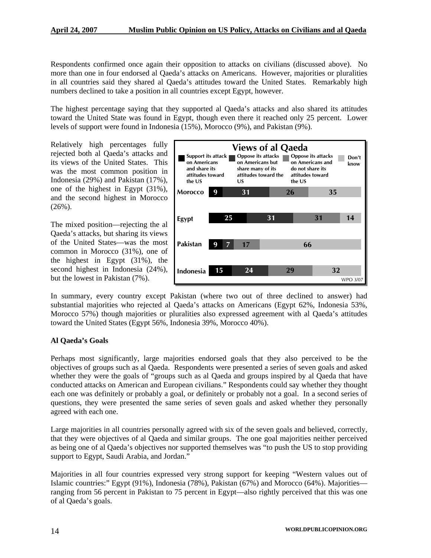Respondents confirmed once again their opposition to attacks on civilians (discussed above). No more than one in four endorsed al Qaeda's attacks on Americans. However, majorities or pluralities in all countries said they shared al Qaeda's attitudes toward the United States. Remarkably high numbers declined to take a position in all countries except Egypt, however.

The highest percentage saying that they supported al Qaeda's attacks and also shared its attitudes toward the United State was found in Egypt, though even there it reached only 25 percent. Lower levels of support were found in Indonesia (15%), Morocco (9%), and Pakistan (9%).

Relatively high percentages fully rejected both al Qaeda's attacks and its views of the United States. This was the most common position in Indonesia (29%) and Pakistan (17%), one of the highest in Egypt (31%), and the second highest in Morocco  $(26\%)$ .

The mixed position—rejecting the al Qaeda's attacks, but sharing its views of the United States—was the most common in Morocco (31%), one of the highest in Egypt (31%), the second highest in Indonesia (24%), but the lowest in Pakistan (7%).



In summary, every country except Pakistan (where two out of three declined to answer) had substantial majorities who rejected al Qaeda's attacks on Americans (Egypt 62%, Indonesia 53%, Morocco 57%) though majorities or pluralities also expressed agreement with al Qaeda's attitudes toward the United States (Egypt 56%, Indonesia 39%, Morocco 40%).

#### **Al Qaeda's Goals**

Perhaps most significantly, large majorities endorsed goals that they also perceived to be the objectives of groups such as al Qaeda. Respondents were presented a series of seven goals and asked whether they were the goals of "groups such as al Qaeda and groups inspired by al Qaeda that have conducted attacks on American and European civilians." Respondents could say whether they thought each one was definitely or probably a goal, or definitely or probably not a goal. In a second series of questions, they were presented the same series of seven goals and asked whether they personally agreed with each one.

Large majorities in all countries personally agreed with six of the seven goals and believed, correctly, that they were objectives of al Qaeda and similar groups. The one goal majorities neither perceived as being one of al Qaeda's objectives nor supported themselves was "to push the US to stop providing support to Egypt, Saudi Arabia, and Jordan."

Majorities in all four countries expressed very strong support for keeping "Western values out of Islamic countries:" Egypt (91%), Indonesia (78%), Pakistan (67%) and Morocco (64%). Majorities ranging from 56 percent in Pakistan to 75 percent in Egypt—also rightly perceived that this was one of al Qaeda's goals.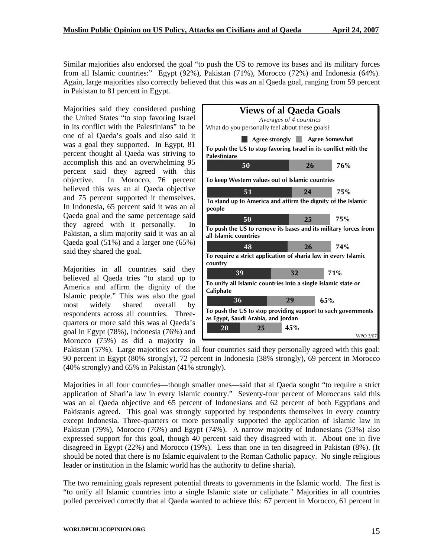Similar majorities also endorsed the goal "to push the US to remove its bases and its military forces from all Islamic countries:" Egypt (92%), Pakistan (71%), Morocco (72%) and Indonesia (64%). Again, large majorities also correctly believed that this was an al Qaeda goal, ranging from 59 percent in Pakistan to 81 percent in Egypt.

Majorities said they considered pushing the United States "to stop favoring Israel in its conflict with the Palestinians" to be one of al Qaeda's goals and also said it was a goal they supported. In Egypt, 81 percent thought al Qaeda was striving to accomplish this and an overwhelming 95 percent said they agreed with this objective. In Morocco, 76 percent believed this was an al Qaeda objective and 75 percent supported it themselves. In Indonesia, 65 percent said it was an al Qaeda goal and the same percentage said they agreed with it personally. In Pakistan, a slim majority said it was an al Qaeda goal (51%) and a larger one (65%) said they shared the goal.

Majorities in all countries said they believed al Qaeda tries "to stand up to America and affirm the dignity of the Islamic people." This was also the goal most widely shared overall by respondents across all countries. Threequarters or more said this was al Qaeda's goal in Egypt (78%), Indonesia (76%) and Morocco (75%) as did a majority in



Pakistan (57%). Large majorities across all four countries said they personally agreed with this goal: 90 percent in Egypt (80% strongly), 72 percent in Indonesia (38% strongly), 69 percent in Morocco (40% strongly) and 65% in Pakistan (41% strongly).

Majorities in all four countries—though smaller ones—said that al Qaeda sought "to require a strict application of Shari'a law in every Islamic country." Seventy-four percent of Moroccans said this was an al Qaeda objective and 65 percent of Indonesians and 62 percent of both Egyptians and Pakistanis agreed. This goal was strongly supported by respondents themselves in every country except Indonesia. Three-quarters or more personally supported the application of Islamic law in Pakistan (79%), Morocco (76%) and Egypt (74%). A narrow majority of Indonesians (53%) also expressed support for this goal, though 40 percent said they disagreed with it. About one in five disagreed in Egypt (22%) and Morocco (19%). Less than one in ten disagreed in Pakistan (8%). (It should be noted that there is no Islamic equivalent to the Roman Catholic papacy. No single religious leader or institution in the Islamic world has the authority to define sharia).

The two remaining goals represent potential threats to governments in the Islamic world. The first is "to unify all Islamic countries into a single Islamic state or caliphate." Majorities in all countries polled perceived correctly that al Qaeda wanted to achieve this: 67 percent in Morocco, 61 percent in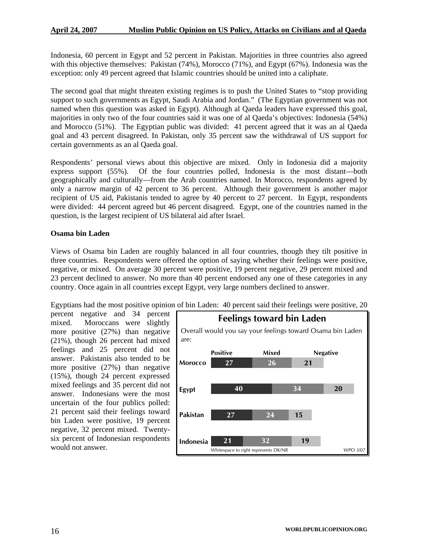Indonesia, 60 percent in Egypt and 52 percent in Pakistan. Majorities in three countries also agreed with this objective themselves: Pakistan (74%), Morocco (71%), and Egypt (67%). Indonesia was the exception: only 49 percent agreed that Islamic countries should be united into a caliphate.

The second goal that might threaten existing regimes is to push the United States to "stop providing support to such governments as Egypt, Saudi Arabia and Jordan." (The Egyptian government was not named when this question was asked in Egypt). Although al Qaeda leaders have expressed this goal, majorities in only two of the four countries said it was one of al Qaeda's objectives: Indonesia (54%) and Morocco (51%). The Egyptian public was divided: 41 percent agreed that it was an al Qaeda goal and 43 percent disagreed. In Pakistan, only 35 percent saw the withdrawal of US support for certain governments as an al Qaeda goal.

Respondents' personal views about this objective are mixed. Only in Indonesia did a majority express support (55%). Of the four countries polled, Indonesia is the most distant—both geographically and culturally—from the Arab countries named. In Morocco, respondents agreed by only a narrow margin of 42 percent to 36 percent. Although their government is another major recipient of US aid, Pakistanis tended to agree by 40 percent to 27 percent. In Egypt, respondents were divided: 44 percent agreed but 46 percent disagreed. Egypt, one of the countries named in the question, is the largest recipient of US bilateral aid after Israel.

#### **Osama bin Laden**

Views of Osama bin Laden are roughly balanced in all four countries, though they tilt positive in three countries. Respondents were offered the option of saying whether their feelings were positive, negative, or mixed. On average 30 percent were positive, 19 percent negative, 29 percent mixed and 23 percent declined to answer. No more than 40 percent endorsed any one of these categories in any country. Once again in all countries except Egypt, very large numbers declined to answer.

Egyptians had the most positive opinion of bin Laden: 40 percent said their feelings were positive, 20

percent negative and 34 percent mixed. Moroccans were slightly more positive (27%) than negative (21%), though 26 percent had mixed feelings and 25 percent did not answer. Pakistanis also tended to be more positive (27%) than negative (15%), though 24 percent expressed mixed feelings and 35 percent did not answer. Indonesians were the most uncertain of the four publics polled: 21 percent said their feelings toward bin Laden were positive, 19 percent negative, 32 percent mixed. Twentysix percent of Indonesian respondents would not answer.

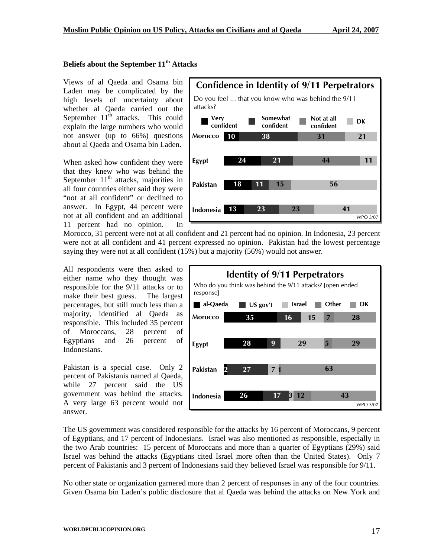#### **Beliefs about the September 11th Attacks**

Views of al Qaeda and Osama bin Laden may be complicated by the high levels of uncertainty about whether al Qaeda carried out the September  $11<sup>th</sup>$  attacks. This could explain the large numbers who would not answer (up to 66%) questions about al Qaeda and Osama bin Laden.

When asked how confident they were that they knew who was behind the September  $11<sup>th</sup>$  attacks, majorities in all four countries either said they were "not at all confident" or declined to answer. In Egypt, 44 percent were not at all confident and an additional 11 percent had no opinion. In



Morocco, 31 percent were not at all confident and 21 percent had no opinion. In Indonesia, 23 percent were not at all confident and 41 percent expressed no opinion. Pakistan had the lowest percentage saying they were not at all confident (15%) but a majority (56%) would n ot answer.

All respondents were then asked to either name who they thought was responsible for the 9/11 attacks or to make their best guess. The largest percentages, but still much less than a majority, identified al Qaeda as responsible. This included 35 percent of Moroccans, 28 percent of Egyptians and 26 percent of Indonesians.

Pakistan is a special case. Only 2 percent of Pakistanis named al Qaeda, while 27 percent said the US government was behind the attacks. A very large 63 percent would not answer.



The US government was considered responsible for the attacks by 16 percent of Moroccans, 9 percent of Egyptians, and 17 percent of Indonesians. Israel was also mentioned as responsible, especially in the two Arab countries: 15 percent of Moroccans and more than a quarter of Egyptians (29%) said Israel was behind the attacks (Egyptians cited Israel more often than the United States). Only 7 percent of Pakistanis and 3 percent of Indonesians said they believed Israel was responsible for 9/11.

No other state or organization garnered more than 2 percent of responses in any of the four countries. Given Osama bin Laden's public disclosure that al Qaeda was behind the attacks on New York and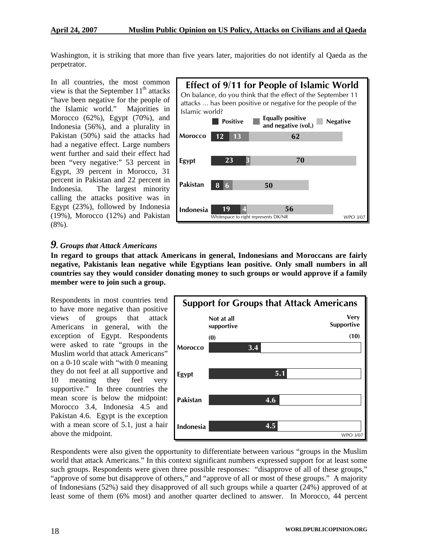Washington, it is striking that more than five years later, majorities do not identify al Qaeda as the perpetrator.

In all countries, the most common view is that the September  $11<sup>th</sup>$  attacks "have been negative for the people of the Islamic world." Majorities in Morocco (62%), Egypt (70%), and Indonesia (56%), and a plurality in Pakistan (50%) said the attacks had had a negative effect. Large numbers went further and said their effect had been "very negative:" 53 percent in Egypt, 39 percent in Morocco, 31 percent in Pakistan and 22 percent in Indonesia. The largest minority calling the attacks positive was in Egypt (23%), followed by Indonesia (19%), Morocco (12%) and Pakistan (8%).



## *9. Groups that Attack Americans*

**In regard to groups that attack Americans in general, Indonesians and Moroccans are fairly negative, Pakistanis lean negative while Egyptians lean positive. Only small numbers in all countries say they would consider donating money to such groups or would approve if a family member were to join such a group.** 

Respondents in most countries tend to have more negative than positive views of groups that attack Americans in general, with the exception of Egypt. Respondents were asked to rate "groups in the Muslim world that attack Americans" on a 0-10 scale with "with 0 meaning they do not feel at all supportive and 10 meaning they feel very supportive." In three countries the mean score is below the midpoint: Morocco 3.4, Indonesia 4.5 and Pakistan 4.6. Egypt is the exception with a mean score of 5.1, just a hair above the midpoint.



Respondents were also given the opportunity to differentiate between various "groups in the Muslim world that attack Americans." In this context significant numbers expressed support for at least some such groups. Respondents were given three possible responses: "disapprove of all of these groups," "approve of some but disapprove of others," and "approve of all or most of these groups." A majority of Indonesians (52%) said they disapproved of all such groups while a quarter (24%) approved of at least some of them (6% most) and another quarter declined to answer. In Morocco, 44 percent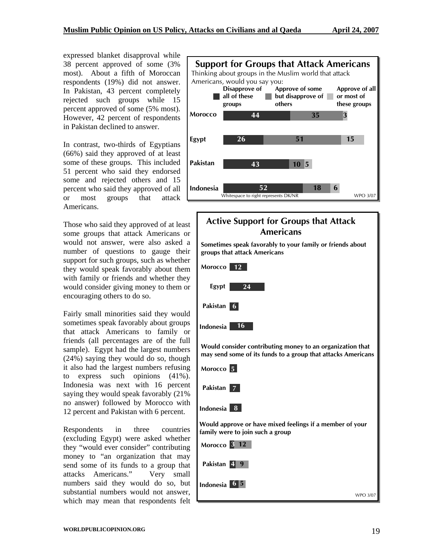expressed blanket disapproval while 38 percent approved of some (3% most). About a fifth of Moroccan respondents (19%) did not answer. In Pakistan, 43 percent completely rejected such groups while 15 percent approved of some (5% most). However, 42 percent of respondents in Pakistan declined to answer.

In contrast, two-thirds of Egyptians (66%) said they approved of at least some of these groups. This included 51 percent who said they endorsed some and rejected others and 15 percent who said they approved of all or most groups that attack Americans.

Those who said they approved of at least some groups that attack Americans or would not answer, were also asked a number of questions to gauge their support for such groups, such as whether they would speak favorably about them with family or friends and whether they would consider giving money to them or encouraging others to do so.

Fairly small minorities said they would sometimes speak favorably about groups that attack Americans to family or friends (all percentages are of the full sample). Egypt had the largest numbers (24%) saying they would do so, though it also had the largest numbers refusing to express such opinions (41%). Indonesia was next with 16 percent saying they would speak favorably (21% no answer) followed by Morocco with 12 percent and Pakistan with 6 percent.

Respondents in three countries (excluding Egypt) were asked whether they "would ever consider" contributing money to "an organization that may send some of its funds to a group that attacks Americans." Very small numbers said they would do so, but substantial numbers would not answer, which may mean that respondents felt



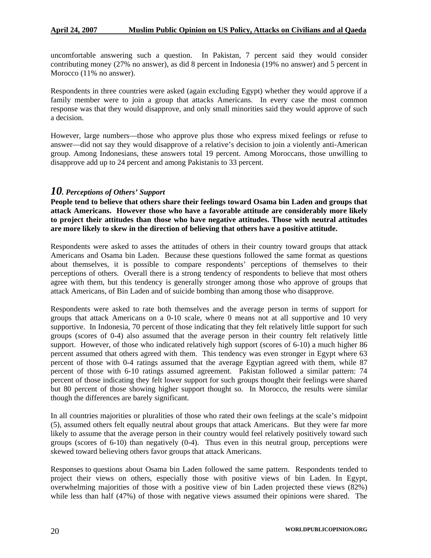uncomfortable answering such a question. In Pakistan, 7 percent said they would consider contributing money (27% no answer), as did 8 percent in Indonesia (19% no answer) and 5 percent in Morocco (11% no answer).

Respondents in three countries were asked (again excluding Egypt) whether they would approve if a family member were to join a group that attacks Americans. In every case the most common response was that they would disapprove, and only small minorities said they would approve of such a decision.

However, large numbers—those who approve plus those who express mixed feelings or refuse to answer—did not say they would disapprove of a relative's decision to join a violently anti-American group. Among Indonesians, these answers total 19 percent. Among Moroccans, those unwilling to disapprove add up to 24 percent and among Pakistanis to 33 percent.

#### *10. Perceptions of Others' Support*

**People tend to believe that others share their feelings toward Osama bin Laden and groups that attack Americans. However those who have a favorable attitude are considerably more likely to project their attitudes than those who have negative attitudes. Those with neutral attitudes are more likely to skew in the direction of believing that others have a positive attitude.** 

Respondents were asked to asses the attitudes of others in their country toward groups that attack Americans and Osama bin Laden. Because these questions followed the same format as questions about themselves, it is possible to compare respondents' perceptions of themselves to their perceptions of others. Overall there is a strong tendency of respondents to believe that most others agree with them, but this tendency is generally stronger among those who approve of groups that attack Americans, of Bin Laden and of suicide bombing than among those who disapprove.

Respondents were asked to rate both themselves and the average person in terms of support for groups that attack Americans on a 0-10 scale, where 0 means not at all supportive and 10 very supportive. In Indonesia, 70 percent of those indicating that they felt relatively little support for such groups (scores of 0-4) also assumed that the average person in their country felt relatively little support. However, of those who indicated relatively high support (scores of 6-10) a much higher 86 percent assumed that others agreed with them. This tendency was even stronger in Egypt where 63 percent of those with 0-4 ratings assumed that the average Egyptian agreed with them, while 87 percent of those with 6-10 ratings assumed agreement. Pakistan followed a similar pattern: 74 percent of those indicating they felt lower support for such groups thought their feelings were shared but 80 percent of those showing higher support thought so. In Morocco, the results were similar though the differences are barely significant.

In all countries majorities or pluralities of those who rated their own feelings at the scale's midpoint (5), assumed others felt equally neutral about groups that attack Americans. But they were far more likely to assume that the average person in their country would feel relatively positively toward such groups (scores of 6-10) than negatively (0-4). Thus even in this neutral group, perceptions were skewed toward believing others favor groups that attack Americans.

Responses to questions about Osama bin Laden followed the same pattern. Respondents tended to project their views on others, especially those with positive views of bin Laden. In Egypt, overwhelming majorities of those with a positive view of bin Laden projected these views (82%) while less than half (47%) of those with negative views assumed their opinions were shared. The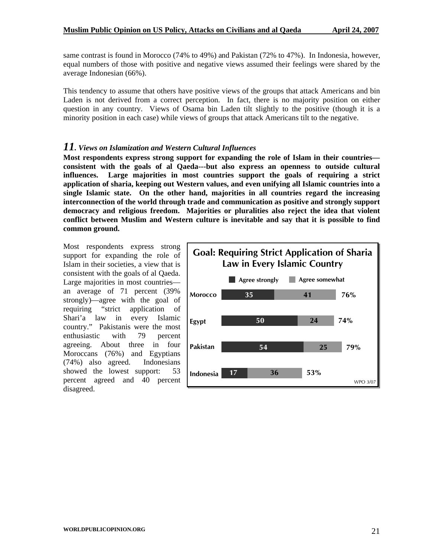same contrast is found in Morocco (74% to 49%) and Pakistan (72% to 47%). In Indonesia, however, equal numbers of those with positive and negative views assumed their feelings were shared by the average Indonesian (66%).

This tendency to assume that others have positive views of the groups that attack Americans and bin Laden is not derived from a correct perception. In fact, there is no majority position on either question in any country. Views of Osama bin Laden tilt slightly to the positive (though it is a minority position in each case) while views of groups that attack Americans tilt to the negative.

#### *11. Views on Islamization and Western Cultural Influences*

**Most respondents express strong support for expanding the role of Islam in their countries consistent with the goals of al Qaeda---but also express an openness to outside cultural influences. Large majorities in most countries support the goals of requiring a strict application of sharia, keeping out Western values, and even unifying all Islamic countries into a single Islamic state. On the other hand, majorities in all countries regard the increasing interconnection of the world through trade and communication as positive and strongly support democracy and religious freedom. Majorities or pluralities also reject the idea that violent conflict between Muslim and Western culture is inevitable and say that it is possible to find common ground.** 

Most respondents express strong support for expanding the role of Islam in their societies, a view that is consistent with the goals of al Qaeda. Large majorities in most countries an average of 71 percent (39% strongly)—agree with the goal of requiring "strict application of Shari'a law in every Islamic country." Pakistanis were the most enthusiastic with 79 percent agreeing. About three in four Moroccans (76%) and Egyptians (74%) also agreed. Indonesians showed the lowest support: 53 percent agreed and 40 percent disagreed.

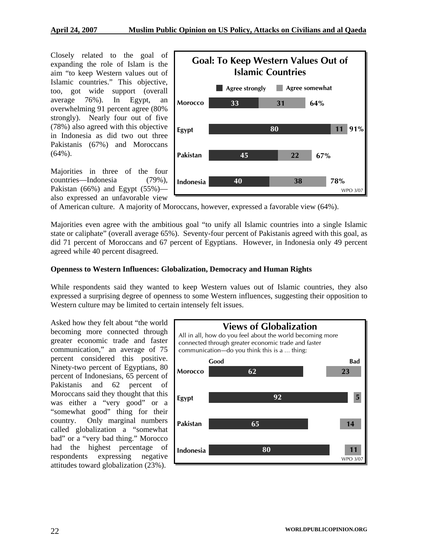Closely related to the goal of expanding the role of Islam is the aim "to keep Western values out of Islamic countries." This objective, too, got wide support (overall strongly). Nearly four out of five (78%) also agreed with this objective average 76%). In Egypt, an overwhelming 91 percent agree (80% in Indonesia as did two out three Pakistanis (67%) and Moroccans (64%).

Majorities in three of the four Pakistan  $(66%)$  and Egypt  $(55%)$  countries—Indonesia (79%), also expressed an unfavorable view



of American culture. A majority of Moroccans, however, expressed a favorable view (64%).

Majorities even agree with the ambitious goal "to unify all Islamic countries into a single Islamic did 71 percent of Moroccans and 67 percent of Egyptians. However, in Indonesia only 49 percent state or caliphate" (overall average 65% ). Seventy-four percent of Pakistanis agreed with this goal, as agreed while 40 percent disagreed.

#### **Openness to Western Influences: Globalization, Democracy and Human Rights**

While respondents said they wanted to keep Western values out of Islamic countries, they also expressed a surprising degree of openness to some Western influences, suggesting their opposition to Western culture may be limited to certain intensely felt issues.

Pakistanis and 62 percent of Moroccans said they thought that this was either a "very good" or a "somewhat good" thing for their Asked how they felt about "the world becoming more connected through greater economic trade and faster communication," an average of 75 percent considered this positive. Ninety-two percent of Egyptians, 80 percent of Indonesians, 65 percent of country. Only marginal numbers called globalization a "somewhat bad" or a "very bad thing." Morocco had the highest percentage of respondents expressing negative attitudes toward globalization (23%).

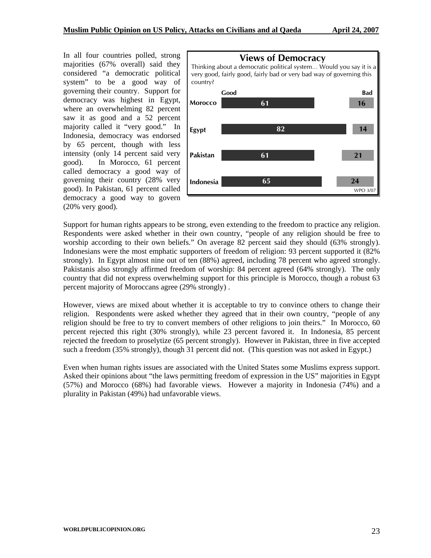In all four countries polled, strong majorities (67% overall) said they considered "a democratic political system" to be a good way of In Morocco, 61 percent governing their country. Support for democracy was highest in Egypt, where an overwhelming 82 percent saw it as good and a 52 percent majority called it "very good." In Indonesia, democracy was endorsed by 65 percent, though with less intensity (only 14 percent said very good). called democracy a good way of governing their country (28% very good). In Pakistan, 61 percent called democracy a good way to govern (20% very good).



Support for human rights appears to be strong, even extending to the freedom to practice any religion. strongly). In Egypt almost nine out of ten (88%) agreed, including 78 percent who agreed strongly. Pakistanis also strongly affirmed freedom of worship: 84 percent agreed (64% strongly). The only country that did not express overwhelming support for this principle is Morocco, though a robust 63 percent majority of Moroccans agree (29% strongly). Respondents were asked whether in their own country, "people of any religion should be free to worship according to their own beliefs." On average 82 percent said they should (63% strongly). Indonesians were the most emphatic supporters of freedom of religion: 93 percent supported it (82%

However, views are mixed about whether it is acceptable to try to convince others to change their religion. Respondents were asked whether they agreed that in their own country, "people of any religion should be free to try to convert members of other religions to join theirs." In Morocco, 60 percent rejected this right (30% strongly), while 23 percent favored it. In Indonesia, 85 percent rejected the freedom to proselytize (65 percent strongly). However in Pakistan, three in five accepted such a freedom (35% strongly), though 31 percent did not. (This question was not asked in Egypt.)

Even when human rights issues are associated with the United States some Muslims express support. Asked their opinions about "the laws permitting freedom of expression in the US" majorities in Egypt 7%) and Morocco (68%) had favorable views. However a majority in Indonesia (74%) and a (5 plurality in Pakistan (49%) had unfavorable views.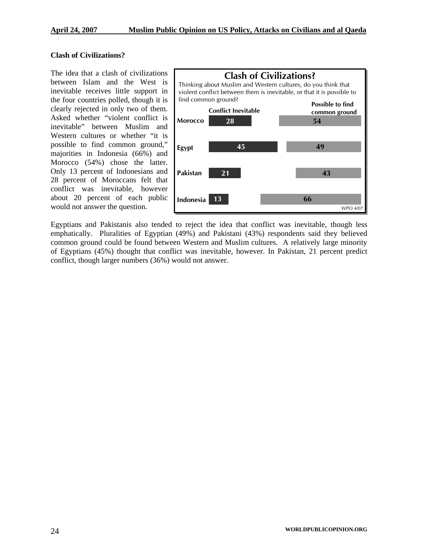#### **Clash of Civilizations?**

The idea that a clash of civilizations inevitable" between Muslim and Western cultures or whether "it is possible to find common ground," majorities in Indonesia (66%) and Morocco (54%) chose the latter. Only 13 percent of Indonesians and 28 percent of Moroccans felt that conflict was inevitable, however about 20 percent of each public would not answer the question. between Islam and the West is inevitable receives little support in the four countries polled, though it is clearly rejected in only two of them. Asked whether "violent conflict is



Egyptians and Pakistanis also tended to reject the idea that conflict was inevitable, though less emphatically. Pluralities of Egyptian (49%) and Pakistani (43%) respondents said they believed common ground could be found between Western and Muslim cultures. A relatively large minority of Egyptians (45%) thought that conflict was inevitable, however. In Pakistan, 21 percent predict conflict, though larger numbers (36%) would not answer.